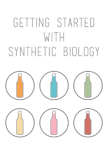# GETTING STARTED WITH SYNTHETIC BIOLOGY

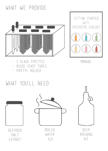# what we provide:





Manual

kit

- 2 glass pipettes
- 6X10G YEAST TUBES
- pipette holder

# What you'll need:

Extract



 $H_2$ O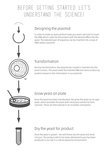# Before Getting started let's understand the science!

## Designing the plasmid

In order to make an yeast perform tasks you want, we have to insert the DNA which codes for the protein with the desired effect into the yeast. The selected part of sequence can be inserted into a loop of DNA called a plasmid.

### Transformation

During transformation, the plasmid we created is inserted into the yeast nucleus. The yeast reads the inserted DNA and starts producing proteins based on the information in our plasmid.

#### Grow yeast on plate

Once the yeast has been transformed, we grow the yeast on an agar plate, which provides the yeast with necessary nutrient to form colonies. These are then placed in an incubator and grown.

#### Dry the yeast for product

Once the yeast is grown - we will freeze dry the yeast and send it to you. The product which has been delivered to you has been produced in our lab in a safe & awesome environment.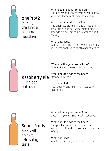

## oneProt2

Making drinking a bit more healthier

#### Where do the genes come from?

This gene was invented by the Synbio Brewery team. It does not come from nature!

#### What does this add to the beer?

The oneProt2 protein. (Made of Histidine, Isoleucine, Leucine, Lysine, Methionine, Phenylalanine, Threonine, Typtophan and Valine).

#### What does it do?

Adds an extra dose of the essential amino acids (nutritionaly important) = healthier beer



Where do the genes come from? *Rubus idaeus* - the common raspberry

What does this add to the beer? Raspberry ketone

Raspberry Pie Like cider, but beer

What does it do? Your beer will have distinctly raspberry overtones



## Super Fruity

Beer with an exra refreshing taste

Where do the genes come from? *Saccharomyces carlsbergensis* - Lager yeast

What does this add to the beer? This yeast makes all the fruity aroma

compounds found in other beers, but more of them.

What does it do? Amplified the fruity aromas in the beer.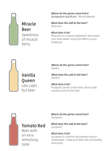

Sweetness of miracle berry Miracle Beer

Where do the genes come from? *Synsepalum dulcificum* - Miracle Berries

What does this add to the beer? Miraculin

#### What does it do?

Miraculin is a natural sweetener and makes sour taste sweet. Enjoy the effect on your tastebuds.



Vanilla Queen Like cider, but beer

Where do the genes come from? Vanilla

What does this add to the beer? Vanillin

What does it do? Produces vanillin in the beer, which adds vanilla aroma to the beer.



Tomato Red

Beer with an exra refreshing taste

Where do the genes come from? Tomatoes

What does this add to the beer? Lycopene

What does it do?

Lycopene is a vibrant red pigment and an antioxidant - make your beer red and healthy all at once.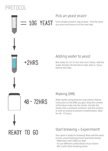# Protocol:



READY TO GO

#### er with an airlock to prevent contamination. Wait for 48 - 72 hours.

## Start brewing + Experiment!

starter into a sanitized container. Seal the contain-

Your yeast is ready for brewing! Now add the yeast to your usual brewing process and brew along!:

- Make beer with 100% our beer
- Try out different combinations of our strains
- Mix it with other brewing strains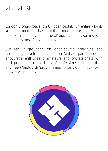# WHO WE ARE:

London Biohackspace is a UK open biolab run entirely by its volunteer members based at the London Hackspace. We are the first community lab in the UK approved for working with genetically modified organisms.

Our lab is grounded on open-source principles and community development; London Biohackspace hopes to encourage enthusiastic amateurs and professionals with backgrounds in a broad mix of professions such as artists/ engineers/biologists/programmers to carry out innovative bioscience projects.

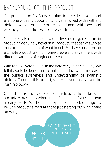# Background of this product:

Our product, the DIY Brew Kit aims to provide anyone and everyone with and opportunity to get involved with synthetic biology. We encourage you to experiment with beer and expand your selection with our yeast strains.

The project also explores how effective such organisms are in producing genuinely novel drink products that can challenge our current perception of what beer is. We have produced an example product, a kit for home-brewers to experiment with different varieties of engineered yeast.

With rapid developments in the field of synthetic biology, we felt it would be beneficial to make a product which increases the publics awareness and understanding of synthetic biology. Through this project, we want you to discover the 'fun' in biology.

Our first step is to provide yeast strains to active home brewers and micro breweries where the infrastructure for using them already exists. We hope to expand out product range to include products aimed at those just starting out with home brewing.

> Brewering Community HOME BREWERS Biohacker - Micro Breweries

community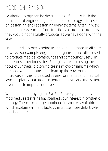# MORE ON SYNBIO:

Synthetic biology can be described as a field in which the principles of engineering are applied to biology, it focuses on designing and redesigning living systems. Often in ways that means systems perform functions or produce products they would not naturally produce, as we have done with the yeast in this kit.

Engineered biology is being used to help humans in all sorts of ways. For example engineered organisms are often used to produce medical compounds and compounds useful in numerous other industries. Biologists are also using the tools of synthetic biology to create micro-organisms which break down pollutants and clean up the environment, micro-organisms to be used as environmental and medical sensors, plants that produce better harvests, and many more inventions to improve our lives.

We hope that enjoying our SynBio Brewery genetically modified yeast strains has sparked your interest in synthetic biology. There are a huge number of resources available which explain synthetic biology in a little more detail, why not check out: